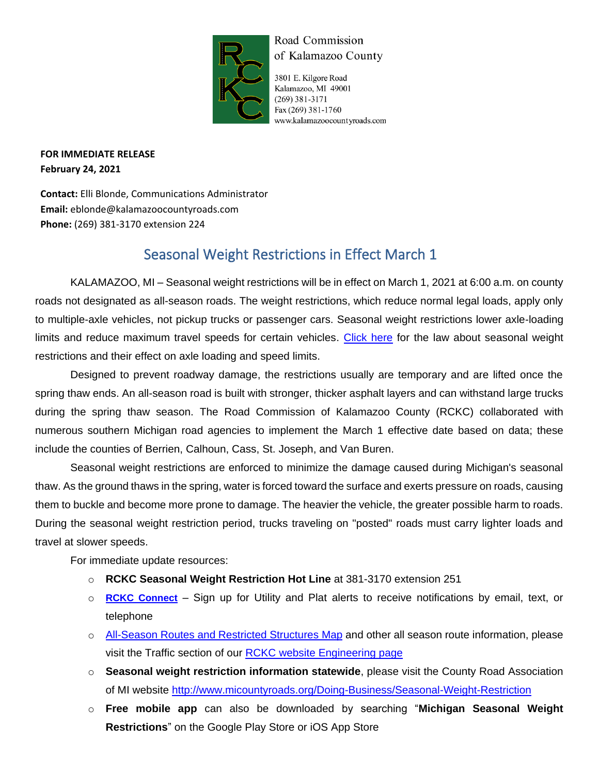

## Road Commission of Kalamazoo County

3801 E. Kilgore Road Kalamazoo, MI 49001  $(269)$  381-3171 Fax (269) 381-1760 www.kalamazoocountyroads.com

**FOR IMMEDIATE RELEASE February 24, 2021**

**Contact:** Elli Blonde, Communications Administrator **Email:** eblonde@kalamazoocountyroads.com **Phone:** (269) 381-3170 extension 224

## Seasonal Weight Restrictions in Effect March 1

KALAMAZOO, MI – Seasonal weight restrictions will be in effect on March 1, 2021 at 6:00 a.m. on county roads not designated as all-season roads. The weight restrictions, which reduce normal legal loads, apply only to multiple-axle vehicles, not pickup trucks or passenger cars. Seasonal weight restrictions lower axle-loading limits and reduce maximum travel speeds for certain vehicles. [Click here](http://www.legislature.mi.gov/(S(hr5f5ypdkqaaole4syui4hgi))/mileg.aspx?page=GetObject&objectname=mcl-257-722) for the law about seasonal weight restrictions and their effect on axle loading and speed limits.

Designed to prevent roadway damage, the restrictions usually are temporary and are lifted once the spring thaw ends. An all-season road is built with stronger, thicker asphalt layers and can withstand large trucks during the spring thaw season. The Road Commission of Kalamazoo County (RCKC) collaborated with numerous southern Michigan road agencies to implement the March 1 effective date based on data; these include the counties of Berrien, Calhoun, Cass, St. Joseph, and Van Buren.

Seasonal weight restrictions are enforced to minimize the damage caused during Michigan's seasonal thaw. As the ground thaws in the spring, water is forced toward the surface and exerts pressure on roads, causing them to buckle and become more prone to damage. The heavier the vehicle, the greater possible harm to roads. During the seasonal weight restriction period, trucks traveling on "posted" roads must carry lighter loads and travel at slower speeds.

For immediate update resources:

- o **RCKC Seasonal Weight Restriction Hot Line** at 381-3170 extension 251
- o **[RCKC Connect](https://member.everbridge.net/892807736724005/login)** Sign up for Utility and Plat alerts to receive notifications by email, text, or telephone
- o [All-Season Routes and Restricted Structures Map](https://www.kalamazoocountyroads.com/userfiles/kcrc/file/Engineering/2021%20All%20Season%20Routes%20and%20Restricted%20Structures%20Map.pdf) and other all season route information, please visit the Traffic section of our RCKC [website Engineering page](https://www.kalamazoocountyroads.com/engineering.php)
- o **Seasonal weight restriction information statewide**, please visit the County Road Association of MI website<http://www.micountyroads.org/Doing-Business/Seasonal-Weight-Restriction>
- o **Free mobile app** can also be downloaded by searching "**Michigan Seasonal Weight Restrictions**" on the Google Play Store or iOS App Store